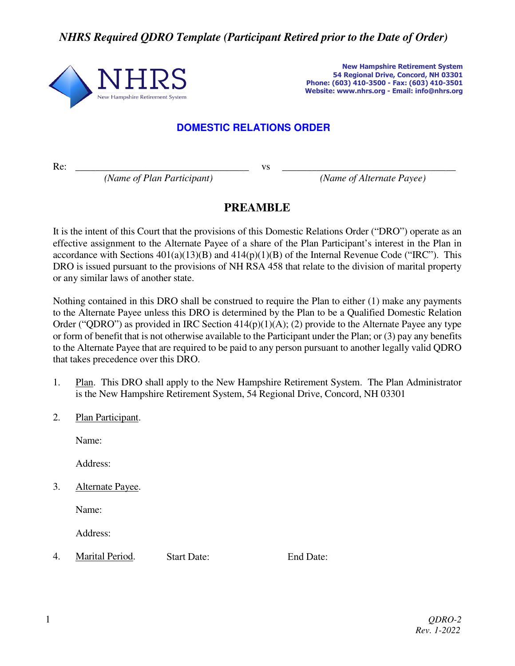*NHRS Required QDRO Template (Participant Retired prior to the Date of Order)* 



**New Hampshire Retirement System 54 Regional Drive, Concord, NH 03301 Phone: (603) 410-3500 - Fax: (603) 410-3501 Website: www.nhrs.org - Email: info@nhrs.org**

## **DOMESTIC RELATIONS ORDER**

Re: *\_\_\_\_\_\_\_\_\_\_\_\_\_\_\_\_\_\_\_\_\_\_\_\_\_\_\_\_\_\_\_\_\_\_\_* vs *\_\_\_\_\_\_\_\_\_\_\_\_\_\_\_\_\_\_\_\_\_\_\_\_\_\_\_\_\_\_\_\_\_\_\_* 

 *(Name of Plan Participant) (Name of Alternate Payee)* 

## **PREAMBLE**

It is the intent of this Court that the provisions of this Domestic Relations Order ("DRO") operate as an effective assignment to the Alternate Payee of a share of the Plan Participant's interest in the Plan in accordance with Sections  $401(a)(13)(B)$  and  $414(p)(1)(B)$  of the Internal Revenue Code ("IRC"). This DRO is issued pursuant to the provisions of NH RSA 458 that relate to the division of marital property or any similar laws of another state.

Nothing contained in this DRO shall be construed to require the Plan to either (1) make any payments to the Alternate Payee unless this DRO is determined by the Plan to be a Qualified Domestic Relation Order ("QDRO") as provided in IRC Section  $414(p)(1)(A)$ ; (2) provide to the Alternate Payee any type or form of benefit that is not otherwise available to the Participant under the Plan; or (3) pay any benefits to the Alternate Payee that are required to be paid to any person pursuant to another legally valid QDRO that takes precedence over this DRO.

- 1. Plan. This DRO shall apply to the New Hampshire Retirement System. The Plan Administrator is the New Hampshire Retirement System, 54 Regional Drive, Concord, NH 03301
- 2. Plan Participant.

Name:

Address:

3. Alternate Payee.

Name:

Address:

4. Marital Period. Start Date: End Date: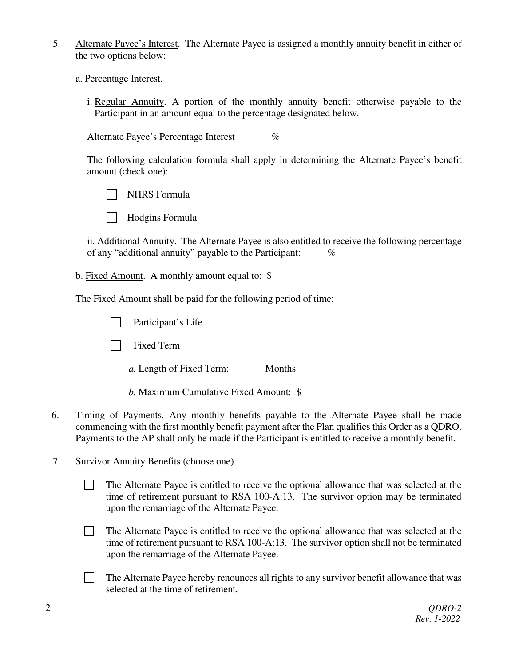- 5. Alternate Payee's Interest. The Alternate Payee is assigned a monthly annuity benefit in either of the two options below:
	- a. Percentage Interest.
		- i. Regular Annuity. A portion of the monthly annuity benefit otherwise payable to the Participant in an amount equal to the percentage designated below.

Alternate Payee's Percentage Interest  $\%$ 

The following calculation formula shall apply in determining the Alternate Payee's benefit amount (check one):

NHRS Formula



ii. Additional Annuity. The Alternate Payee is also entitled to receive the following percentage of any "additional annuity" payable to the Participant:  $\%$ 

b. Fixed Amount. A monthly amount equal to: \$

The Fixed Amount shall be paid for the following period of time:

- Participant's Life
- **Fixed Term** 
	- *a.* Length of Fixed Term: Months
	- *b.* Maximum Cumulative Fixed Amount: \$
- 6. Timing of Payments. Any monthly benefits payable to the Alternate Payee shall be made commencing with the first monthly benefit payment after the Plan qualifies this Order as a QDRO. Payments to the AP shall only be made if the Participant is entitled to receive a monthly benefit.
- 7. Survivor Annuity Benefits (choose one).
	- The Alternate Payee is entitled to receive the optional allowance that was selected at the time of retirement pursuant to RSA 100-A:13. The survivor option may be terminated upon the remarriage of the Alternate Payee.
	- The Alternate Payee is entitled to receive the optional allowance that was selected at the time of retirement pursuant to RSA 100-A:13. The survivor option shall not be terminated upon the remarriage of the Alternate Payee.
	- The Alternate Payee hereby renounces all rights to any survivor benefit allowance that was selected at the time of retirement.